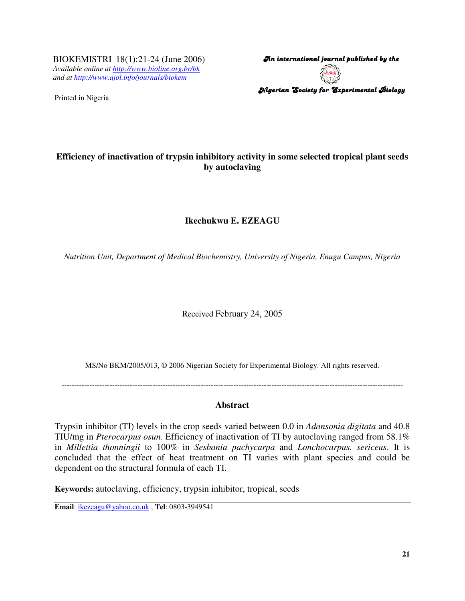BIOKEMISTRI 18(1):21-24 (June 2006) *Available online at http://www.bioline.org.br/bk and at http://www.ajol.info/journals/biokem*

Printed in Nigeria

An international journal published by the  $\,$ Nigerian Society for Experimental Biology

## **Efficiency of inactivation of trypsin inhibitory activity in some selected tropical plant seeds by autoclaving**

# **Ikechukwu E. EZEAGU**

*Nutrition Unit, Department of Medical Biochemistry, University of Nigeria, Enugu Campus, Nigeria*

Received February 24, 2005

MS/No BKM/2005/013, © 2006 Nigerian Society for Experimental Biology. All rights reserved.

---------------------------------------------------------------------------------------------------------------------------------------

### **Abstract**

Trypsin inhibitor (TI) levels in the crop seeds varied between 0.0 in *Adansonia digitata* and 40.8 TIU/mg in *Pterocarpus osun*. Efficiency of inactivation of TI by autoclaving ranged from 58.1% in *Millettia thonningii* to 100% in *Sesbania pachycarpa* and *Lonchocarpus. sericeus*. It is concluded that the effect of heat treatment on TI varies with plant species and could be dependent on the structural formula of each TI.

**Keywords:** autoclaving, efficiency, trypsin inhibitor, tropical, seeds

**Email**: ikezeagu@yahoo.co.uk , **Tel**: 0803-3949541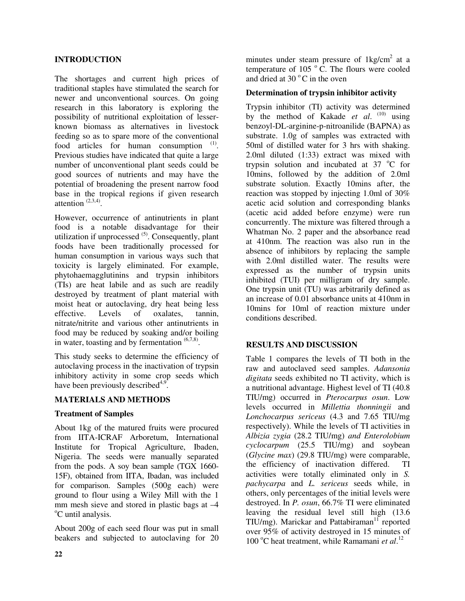### **INTRODUCTION**

The shortages and current high prices of traditional staples have stimulated the search for newer and unconventional sources. On going research in this laboratory is exploring the possibility of nutritional exploitation of lesserknown biomass as alternatives in livestock feeding so as to spare more of the conventional food articles for human consumption  $(1)$ . Previous studies have indicated that quite a large number of unconventional plant seeds could be good sources of nutrients and may have the potential of broadening the present narrow food base in the tropical regions if given research attention  $(2,3,4)$ .

However, occurrence of antinutrients in plant food is a notable disadvantage for their utilization if unprocessed <sup>(5)</sup>. Consequently, plant foods have been traditionally processed for human consumption in various ways such that toxicity is largely eliminated. For example, phytohaemagglutinins and trypsin inhibitors (TIs) are heat labile and as such are readily destroyed by treatment of plant material with moist heat or autoclaving, dry heat being less effective. Levels of oxalates, tannin, nitrate/nitrite and various other antinutrients in food may be reduced by soaking and/or boiling in water, toasting and by fermentation  $(6,7,8)$ .

This study seeks to determine the efficiency of autoclaving process in the inactivation of trypsin inhibitory activity in some crop seeds which have been previously described<sup>4,9</sup>.

#### **MATERIALS AND METHODS**

#### **Treatment of Samples**

About 1kg of the matured fruits were procured from IITA-ICRAF Arboretum, International Institute for Tropical Agriculture, Ibaden, Nigeria. The seeds were manually separated from the pods. A soy bean sample (TGX 1660- 15F), obtained from IITA, Ibadan, was included for comparison. Samples (500g each) were ground to flour using a Wiley Mill with the 1 mm mesh sieve and stored in plastic bags at –4 <sup>o</sup>C until analysis.

About 200g of each seed flour was put in small beakers and subjected to autoclaving for 20 minutes under steam pressure of 1kg/cm<sup>2</sup> at a temperature of 105 $^{\circ}$  C. The flours were cooled and dried at 30 $\degree$ C in the oven

#### **Determination of trypsin inhibitor activity**

Trypsin inhibitor (TI) activity was determined by the method of Kakade *et al.* <sup>(10)</sup> using benzoyl-DL-arginine-p-nitroanilide (BAPNA) as substrate. 1.0g of samples was extracted with 50ml of distilled water for 3 hrs with shaking. 2.0ml diluted (1:33) extract was mixed with trypsin solution and incubated at  $37 °C$  for 10mins, followed by the addition of 2.0ml substrate solution. Exactly 10mins after, the reaction was stopped by injecting 1.0ml of 30% acetic acid solution and corresponding blanks (acetic acid added before enzyme) were run concurrently. The mixture was filtered through a Whatman No. 2 paper and the absorbance read at 410nm. The reaction was also run in the absence of inhibitors by replacing the sample with 2.0ml distilled water. The results were expressed as the number of trypsin units inhibited (TUI) per milligram of dry sample. One trypsin unit (TU) was arbitrarily defined as an increase of 0.01 absorbance units at 410nm in 10mins for 10ml of reaction mixture under conditions described.

#### **RESULTS AND DISCUSSION**

Table 1 compares the levels of TI both in the raw and autoclaved seed samples. *Adansonia digitata* seeds exhibited no TI activity, which is a nutritional advantage. Highest level of TI (40.8 TIU/mg) occurred in *Pterocarpus osun*. Low levels occurred in *Millettia thonningii* and *Lonchocarpus sericeus* (4.3 and 7.65 TIU/mg respectively). While the levels of TI activities in *Albizia zygia* (28.2 TIU/mg) *and Enterolobium cyclocarpum* (25.5 TIU/mg) and soybean (*Glycine max*) (29.8 TIU/mg) were comparable, the efficiency of inactivation differed. TI activities were totally eliminated only in *S. pachycarpa* and *L. sericeus* seeds while, in others, only percentages of the initial levels were destroyed. In *P. osun*, 66.7% TI were eliminated leaving the residual level still high (13.6 TIU/mg). Marickar and Pattabiraman<sup>11</sup> reported over 95% of activity destroyed in 15 minutes of 100 °C heat treatment, while Ramamani et al.<sup>12</sup>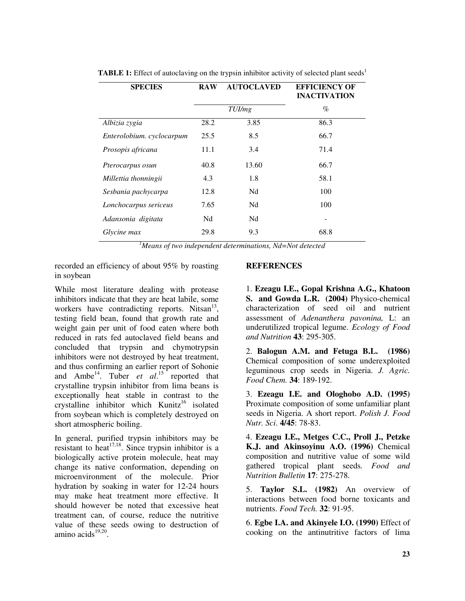| <b>SPECIES</b>            | <b>RAW</b> | <b>AUTOCLAVED</b> | <b>EFFICIENCY OF</b><br><b>INACTIVATION</b> |
|---------------------------|------------|-------------------|---------------------------------------------|
|                           |            | TUI/mg            | $\%$                                        |
| Albizia zygia             | 28.2       | 3.85              | 86.3                                        |
| Enterolobium. cyclocarpum | 25.5       | 8.5               | 66.7                                        |
| Prosopis africana         | 11.1       | 3.4               | 71.4                                        |
| Pterocarpus osun          | 40.8       | 13.60             | 66.7                                        |
| Millettia thonningii      | 4.3        | 1.8               | 58.1                                        |
| Sesbania pachycarpa       | 12.8       | Nd                | 100                                         |
| Lonchocarpus sericeus     | 7.65       | Nd                | 100                                         |
| Adansonia digitata        | Nd         | Nd                |                                             |
| Glycine max               | 29.8       | 9.3               | 68.8                                        |

**TABLE 1:** Effect of autoclaving on the trypsin inhibitor activity of selected plant seeds<sup>1</sup>

*<sup>1</sup>Means of two independent determinations, Nd=Not detected*

recorded an efficiency of about 95% by roasting in soybean

While most literature dealing with protease inhibitors indicate that they are heat labile, some workers have contradicting reports. Nitsan<sup>13</sup>, testing field bean, found that growth rate and weight gain per unit of food eaten where both reduced in rats fed autoclaved field beans and concluded that trypsin and chymotrypsin inhibitors were not destroyed by heat treatment, and thus confirming an earlier report of Sohonie and Ambe<sup>14</sup>. Tuber *et al.*<sup>15</sup> reported that crystalline trypsin inhibitor from lima beans is exceptionally heat stable in contrast to the crystalline inhibitor which Kunitz<sup>16</sup> isolated from soybean which is completely destroyed on short atmospheric boiling.

In general, purified trypsin inhibitors may be resistant to heat $17,18$ . Since trypsin inhibitor is a biologically active protein molecule, heat may change its native conformation, depending on microenvironment of the molecule. Prior hydration by soaking in water for 12-24 hours may make heat treatment more effective. It should however be noted that excessive heat treatment can, of course, reduce the nutritive value of these seeds owing to destruction of amino acids<sup>19,20</sup>.

#### **REFERENCES**

1. **Ezeagu I.E., Gopal Krishna A.G., Khatoon S. and Gowda L.R. (2004)** Physico-chemical characterization of seed oil and nutrient assessment of *Adenanthera pavonina,* L: an underutilized tropical legume. *Ecology of Food and Nutrition* **43**: 295-305.

2. **Balogun A.M. and Fetuga B.L. (1986)** Chemical composition of some underexploited leguminous crop seeds in Nigeria. *J. Agric. Food Chem.* **34**: 189-192.

3. **Ezeagu I.E. and Ologhobo A.D. (1995)** Proximate composition of some unfamiliar plant seeds in Nigeria. A short report. *Polish J. Food Nutr. Sci*. **4/45**: 78-83.

4. **Ezeagu I.E., Metges C.C., Proll J., Petzke K.J. and Akinsoyinu A.O. (1996)** Chemical composition and nutritive value of some wild gathered tropical plant seeds*. Food and Nutrition Bulletin* **17**: 275-278.

5. **Taylor S.L. (1982)** An overview of interactions between food borne toxicants and nutrients. *Food Tech.* **32**: 91-95.

6. **Egbe I.A. and Akinyele I.O. (1990)** Effect of cooking on the antinutritive factors of lima